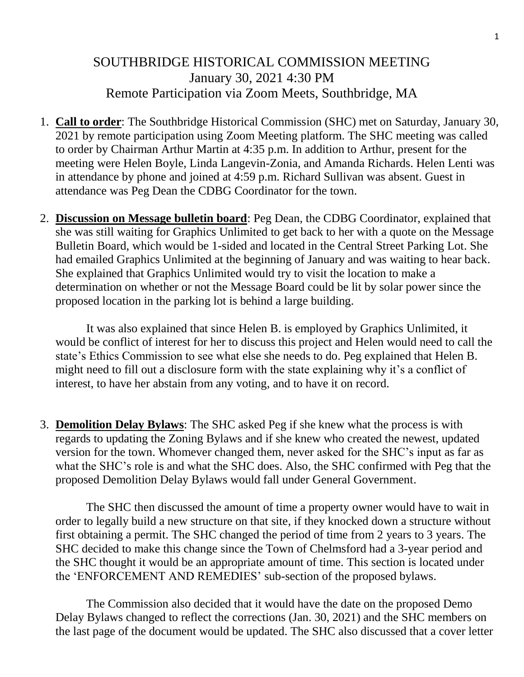## SOUTHBRIDGE HISTORICAL COMMISSION MEETING January 30, 2021 4:30 PM Remote Participation via Zoom Meets, Southbridge, MA

- 1. **Call to order**: The Southbridge Historical Commission (SHC) met on Saturday, January 30, 2021 by remote participation using Zoom Meeting platform. The SHC meeting was called to order by Chairman Arthur Martin at 4:35 p.m. In addition to Arthur, present for the meeting were Helen Boyle, Linda Langevin-Zonia, and Amanda Richards. Helen Lenti was in attendance by phone and joined at 4:59 p.m. Richard Sullivan was absent. Guest in attendance was Peg Dean the CDBG Coordinator for the town.
- 2. **Discussion on Message bulletin board**: Peg Dean, the CDBG Coordinator, explained that she was still waiting for Graphics Unlimited to get back to her with a quote on the Message Bulletin Board, which would be 1-sided and located in the Central Street Parking Lot. She had emailed Graphics Unlimited at the beginning of January and was waiting to hear back. She explained that Graphics Unlimited would try to visit the location to make a determination on whether or not the Message Board could be lit by solar power since the proposed location in the parking lot is behind a large building.

It was also explained that since Helen B. is employed by Graphics Unlimited, it would be conflict of interest for her to discuss this project and Helen would need to call the state's Ethics Commission to see what else she needs to do. Peg explained that Helen B. might need to fill out a disclosure form with the state explaining why it's a conflict of interest, to have her abstain from any voting, and to have it on record.

3. **Demolition Delay Bylaws**: The SHC asked Peg if she knew what the process is with regards to updating the Zoning Bylaws and if she knew who created the newest, updated version for the town. Whomever changed them, never asked for the SHC's input as far as what the SHC's role is and what the SHC does. Also, the SHC confirmed with Peg that the proposed Demolition Delay Bylaws would fall under General Government.

The SHC then discussed the amount of time a property owner would have to wait in order to legally build a new structure on that site, if they knocked down a structure without first obtaining a permit. The SHC changed the period of time from 2 years to 3 years. The SHC decided to make this change since the Town of Chelmsford had a 3-year period and the SHC thought it would be an appropriate amount of time. This section is located under the 'ENFORCEMENT AND REMEDIES' sub-section of the proposed bylaws.

The Commission also decided that it would have the date on the proposed Demo Delay Bylaws changed to reflect the corrections (Jan. 30, 2021) and the SHC members on the last page of the document would be updated. The SHC also discussed that a cover letter